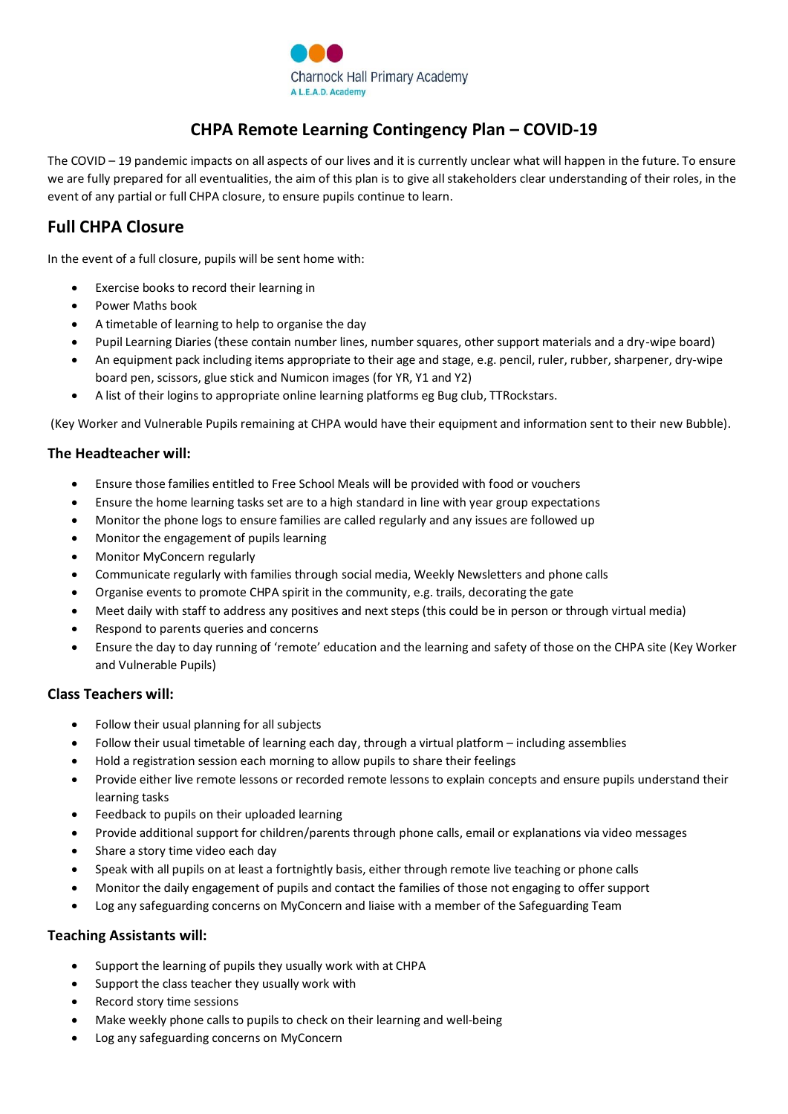

# **CHPA Remote Learning Contingency Plan – COVID-19**

The COVID – 19 pandemic impacts on all aspects of our lives and it is currently unclear what will happen in the future. To ensure we are fully prepared for all eventualities, the aim of this plan is to give all stakeholders clear understanding of their roles, in the event of any partial or full CHPA closure, to ensure pupils continue to learn.

## **Full CHPA Closure**

In the event of a full closure, pupils will be sent home with:

- Exercise books to record their learning in
- Power Maths book
- A timetable of learning to help to organise the day
- Pupil Learning Diaries (these contain number lines, number squares, other support materials and a dry-wipe board)
- An equipment pack including items appropriate to their age and stage, e.g. pencil, ruler, rubber, sharpener, dry-wipe board pen, scissors, glue stick and Numicon images (for YR, Y1 and Y2)
- A list of their logins to appropriate online learning platforms eg Bug club, TTRockstars.

(Key Worker and Vulnerable Pupils remaining at CHPA would have their equipment and information sent to their new Bubble).

### **The Headteacher will:**

- Ensure those families entitled to Free School Meals will be provided with food or vouchers
- Ensure the home learning tasks set are to a high standard in line with year group expectations
- Monitor the phone logs to ensure families are called regularly and any issues are followed up
- Monitor the engagement of pupils learning
- Monitor MyConcern regularly
- Communicate regularly with families through social media, Weekly Newsletters and phone calls
- Organise events to promote CHPA spirit in the community, e.g. trails, decorating the gate
- Meet daily with staff to address any positives and next steps (this could be in person or through virtual media)
- Respond to parents queries and concerns
- Ensure the day to day running of 'remote' education and the learning and safety of those on the CHPA site (Key Worker and Vulnerable Pupils)

### **Class Teachers will:**

- Follow their usual planning for all subjects
- Follow their usual timetable of learning each day, through a virtual platform including assemblies
- Hold a registration session each morning to allow pupils to share their feelings
- Provide either live remote lessons or recorded remote lessons to explain concepts and ensure pupils understand their learning tasks
- Feedback to pupils on their uploaded learning
- Provide additional support for children/parents through phone calls, email or explanations via video messages
- Share a story time video each day
- Speak with all pupils on at least a fortnightly basis, either through remote live teaching or phone calls
- Monitor the daily engagement of pupils and contact the families of those not engaging to offer support
- Log any safeguarding concerns on MyConcern and liaise with a member of the Safeguarding Team

### **Teaching Assistants will:**

- Support the learning of pupils they usually work with at CHPA
- Support the class teacher they usually work with
- Record story time sessions
- Make weekly phone calls to pupils to check on their learning and well-being
- Log any safeguarding concerns on MyConcern